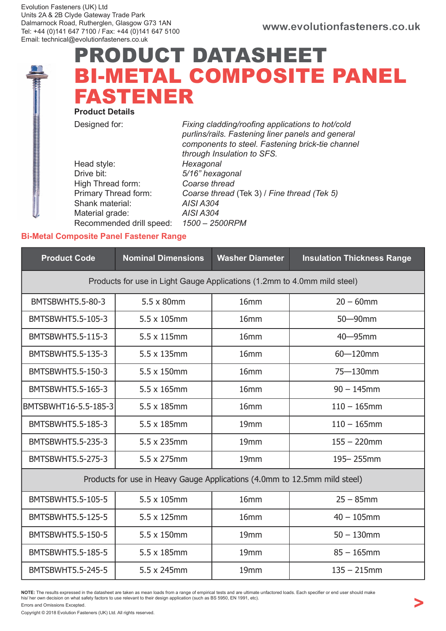## PRODUCT DATASHEET BI-METAL COMPOSITE PANEL FASTENER

Product Details

Designed for: Fixing cladding/roofing applications to hot/cold purlins/rails. Fastening liner panels and general components to steel. Fastening brick-tie channel through Insulation to SFS. Head style: Hexagonal Drive bit: 5/16" hexagonal High Thread form: Coarse thread Primary Thread form: Coarse thread (Tek 3) / Fine thread (Tek 5) Shank material: AISI A304 Material grade: AISI A304 Recommended drill speed: 1500 – 2500RPM

## Bi-Metal Composite Panel Fastener Range

| <b>Product Code</b>                                                       | <b>Nominal Dimensions</b> | <b>Washer Diameter</b> | <b>Insulation Thickness Range</b> |  |  |  |  |  |
|---------------------------------------------------------------------------|---------------------------|------------------------|-----------------------------------|--|--|--|--|--|
| Products for use in Light Gauge Applications (1.2mm to 4.0mm mild steel)  |                           |                        |                                   |  |  |  |  |  |
| <b>BMTSBWHT5.5-80-3</b>                                                   | 5.5 x 80mm                | 16mm                   | $20 - 60$ mm                      |  |  |  |  |  |
| BMTSBWHT5.5-105-3                                                         | 5.5 x 105mm               | 16mm                   | 50-90mm                           |  |  |  |  |  |
| BMTSBWHT5.5-115-3                                                         | 5.5 x 115mm               | 16mm                   | $40 - 95$ mm                      |  |  |  |  |  |
| BMTSBWHT5.5-135-3                                                         | $5.5 \times 135$ mm       | 16mm                   | $60 - 120$ mm                     |  |  |  |  |  |
| BMTSBWHT5.5-150-3                                                         | $5.5 \times 150$ mm       | 16mm                   | 75-130mm                          |  |  |  |  |  |
| BMTSBWHT5.5-165-3                                                         | $5.5 \times 165$ mm       | 16 <sub>mm</sub>       | $90 - 145$ mm                     |  |  |  |  |  |
| BMTSBWHT16-5.5-185-3                                                      | 5.5 x 185mm               | 16mm                   | $110 - 165$ mm                    |  |  |  |  |  |
| BMTSBWHT5.5-185-3                                                         | 5.5 x 185mm               | 19 <sub>mm</sub>       | $110 - 165$ mm                    |  |  |  |  |  |
| BMTSBWHT5.5-235-3                                                         | 5.5 x 235mm               | 19mm                   | $155 - 220$ mm                    |  |  |  |  |  |
| BMTSBWHT5.5-275-3                                                         | 5.5 x 275mm               | 19mm                   | 195-255mm                         |  |  |  |  |  |
| Products for use in Heavy Gauge Applications (4.0mm to 12.5mm mild steel) |                           |                        |                                   |  |  |  |  |  |
| BMTSBWHT5.5-105-5                                                         | 5.5 x 105mm               | 16mm                   | $25 - 85$ mm                      |  |  |  |  |  |
| BMTSBWHT5.5-125-5                                                         | $5.5 \times 125$ mm       | 16 <sub>mm</sub>       | $40 - 105$ mm                     |  |  |  |  |  |
| BMTSBWHT5.5-150-5                                                         | $5.5 \times 150$ mm       |                        | $50 - 130$ mm                     |  |  |  |  |  |
| BMTSBWHT5.5-185-5                                                         | 5.5 x 185mm               | 19mm                   | $85 - 165$ mm                     |  |  |  |  |  |
| BMTSBWHT5.5-245-5                                                         | 5.5 x 245mm               | 19mm                   | $135 - 215$ mm                    |  |  |  |  |  |

**NOTE:** The results expressed in the datasheet are taken as mean loads from a range of empirical tests and are ultimate unfactored loads. Each specifier or end user should make<br>his/ her own decision on what safety factors

Errors and Omissions Excepted.

Copyright © 2018 Evolution Fasteners (UK) Ltd. All rights reserved.